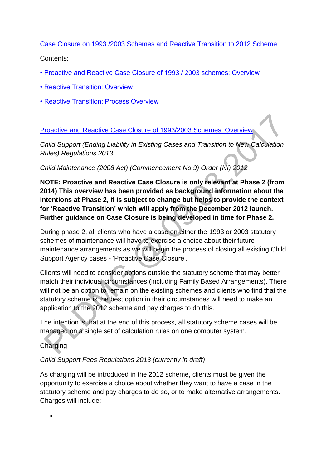[Case Closure on 1993 /2003 Schemes and Reactive Transition to 2012 Scheme](http://np-cmg-sharepoint.link2.gpn.gov.uk/sites/policy-law-and-decision-making-guidance/Pages/Reactive%20Transition/Reactive-Transition.aspx?ControlMode=Edit&DisplayMode=Design)

Contents:

[• Proactive and Reactive Case Closure of 1993 / 2003 schemes: Overview](http://np-cmg-sharepoint.link2.gpn.gov.uk/sites/policy-law-and-decision-making-guidance/Pages/Reactive%20Transition/Reactive-Transition.aspx#CaseClosure)

[• Reactive Transition: Overview](http://np-cmg-sharepoint.link2.gpn.gov.uk/sites/policy-law-and-decision-making-guidance/Pages/Reactive%20Transition/Reactive-Transition.aspx#RTOverview)

[• Reactive Transition: Process Overview](http://np-cmg-sharepoint.link2.gpn.gov.uk/sites/policy-law-and-decision-making-guidance/Pages/Reactive%20Transition/Reactive-Transition.aspx#RTProcess)

[Proactive and Reactive Case Closure of 1993/2003 Schemes: Overview](http://np-cmg-sharepoint.link2.gpn.gov.uk/sites/policy-law-and-decision-making-guidance/Pages/Reactive%20Transition/Reactive-Transition.aspx)

*Child Support (Ending Liability in Existing Cases and Transition to New Calculation Rules) Regulations 2013* 

## *Child Maintenance (2008 Act) (Commencement No.9) Order (NI) 2012*

**NOTE: Proactive and Reactive Case Closure is only relevant at Phase 2 (from 2014) This overview has been provided as background information about the intentions at Phase 2, it is subject to change but helps to provide the context for 'Reactive Transition' which will apply from the December 2012 launch. Further guidance on Case Closure is being developed in time for Phase 2.**

During phase 2, all clients who have a case on either the 1993 or 2003 statutory schemes of maintenance will have to exercise a choice about their future maintenance arrangements as we will begin the process of closing all existing Child Support Agency cases - 'Proactive Case Closure'.

Clients will need to consider options outside the statutory scheme that may better match their individual circumstances (including Family Based Arrangements). There will not be an option to remain on the existing schemes and clients who find that the statutory scheme is the best option in their circumstances will need to make an application to the 2012 scheme and pay charges to do this.

The intention is that at the end of this process, all statutory scheme cases will be managed on a single set of calculation rules on one computer system.

# **Charging**

 $\bullet$ 

### *Child Support Fees Regulations 2013 (currently in draft)*

As charging will be introduced in the 2012 scheme, clients must be given the opportunity to exercise a choice about whether they want to have a case in the statutory scheme and pay charges to do so, or to make alternative arrangements. Charges will include: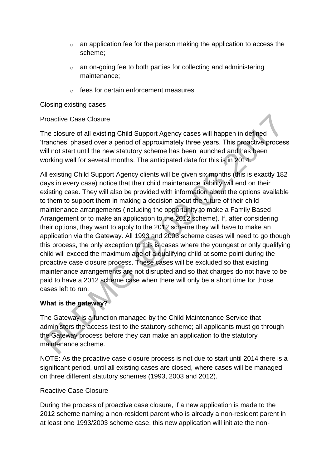- $\circ$  an application fee for the person making the application to access the scheme;
- $\circ$  an on-going fee to both parties for collecting and administering maintenance;
- o fees for certain enforcement measures

Closing existing cases

## Proactive Case Closure

The closure of all existing Child Support Agency cases will happen in defined 'tranches' phased over a period of approximately three years. This proactive process will not start until the new statutory scheme has been launched and has been working well for several months. The anticipated date for this is in 2014.

All existing Child Support Agency clients will be given six months (this is exactly 182 days in every case) notice that their child maintenance liability will end on their existing case. They will also be provided with information about the options available to them to support them in making a decision about the future of their child maintenance arrangements (including the opportunity to make a Family Based Arrangement or to make an application to the 2012 scheme). If, after considering their options, they want to apply to the 2012 scheme they will have to make an application via the Gateway. All 1993 and 2003 scheme cases will need to go though this process, the only exception to this is cases where the youngest or only qualifying child will exceed the maximum age of a qualifying child at some point during the proactive case closure process. These cases will be excluded so that existing maintenance arrangements are not disrupted and so that charges do not have to be paid to have a 2012 scheme case when there will only be a short time for those cases left to run.

# **What is the gateway?**

The Gateway is a function managed by the Child Maintenance Service that administers the access test to the statutory scheme; all applicants must go through the Gateway process before they can make an application to the statutory maintenance scheme.

NOTE: As the proactive case closure process is not due to start until 2014 there is a significant period, until all existing cases are closed, where cases will be managed on three different statutory schemes (1993, 2003 and 2012).

### Reactive Case Closure

During the process of proactive case closure, if a new application is made to the 2012 scheme naming a non-resident parent who is already a non-resident parent in at least one 1993/2003 scheme case, this new application will initiate the non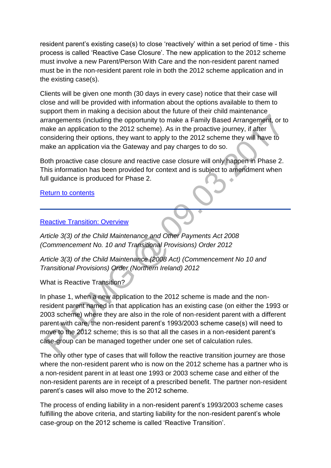resident parent's existing case(s) to close 'reactively' within a set period of time - this process is called 'Reactive Case Closure'. The new application to the 2012 scheme must involve a new Parent/Person With Care and the non-resident parent named must be in the non-resident parent role in both the 2012 scheme application and in the existing case(s).

Clients will be given one month (30 days in every case) notice that their case will close and will be provided with information about the options available to them to support them in making a decision about the future of their child maintenance arrangements (including the opportunity to make a Family Based Arrangement, or to make an application to the 2012 scheme). As in the proactive journey, if after considering their options, they want to apply to the 2012 scheme they will have to make an application via the Gateway and pay charges to do so.

Both proactive case closure and reactive case closure will only happen in Phase 2. This information has been provided for context and is subject to amendment when full guidance is produced for Phase 2.

[Return to contents](http://np-cmg-sharepoint.link2.gpn.gov.uk/sites/policy-law-and-decision-making-guidance/Pages/Reactive%20Transition/Reactive-Transition.aspx#RTContents)

### **[Reactive Transition: Overview](http://np-cmg-sharepoint.link2.gpn.gov.uk/sites/policy-law-and-decision-making-guidance/Pages/Reactive%20Transition/Reactive-Transition.aspx)**

*Article 3(3) of the Child Maintenance and Other Payments Act 2008 (Commencement No. 10 and Transitional Provisions) Order 2012* 

*Article 3(3) of the Child Maintenance (2008 Act) (Commencement No 10 and Transitional Provisions) Order (Northern Ireland) 2012*

What is Reactive Transition?

In phase 1, when a new application to the 2012 scheme is made and the nonresident parent named in that application has an existing case (on either the 1993 or 2003 scheme) where they are also in the role of non-resident parent with a different parent with care, the non-resident parent's 1993/2003 scheme case(s) will need to move to the 2012 scheme; this is so that all the cases in a non-resident parent's case-group can be managed together under one set of calculation rules.

The only other type of cases that will follow the reactive transition journey are those where the non-resident parent who is now on the 2012 scheme has a partner who is a non-resident parent in at least one 1993 or 2003 scheme case and either of the non-resident parents are in receipt of a prescribed benefit. The partner non-resident parent's cases will also move to the 2012 scheme.

The process of ending liability in a non-resident parent's 1993/2003 scheme cases fulfilling the above criteria, and starting liability for the non-resident parent's whole case-group on the 2012 scheme is called 'Reactive Transition'.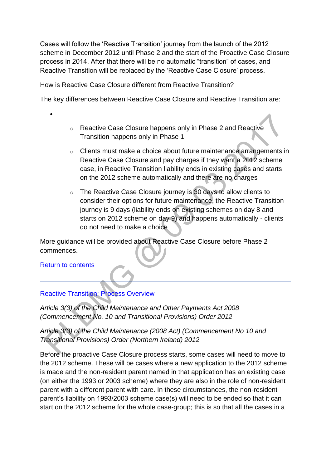Cases will follow the 'Reactive Transition' journey from the launch of the 2012 scheme in December 2012 until Phase 2 and the start of the Proactive Case Closure process in 2014. After that there will be no automatic "transition" of cases, and Reactive Transition will be replaced by the 'Reactive Case Closure' process.

How is Reactive Case Closure different from Reactive Transition?

The key differences between Reactive Case Closure and Reactive Transition are:

- o Reactive Case Closure happens only in Phase 2 and Reactive Transition happens only in Phase 1
- o Clients must make a choice about future maintenance arrangements in Reactive Case Closure and pay charges if they want a 2012 scheme case, in Reactive Transition liability ends in existing cases and starts on the 2012 scheme automatically and there are no charges
- o The Reactive Case Closure journey is 30 days to allow clients to consider their options for future maintenance, the Reactive Transition journey is 9 days (liability ends on existing schemes on day 8 and starts on 2012 scheme on day 9) and happens automatically - clients do not need to make a choice

More guidance will be provided about Reactive Case Closure before Phase 2 commences.

#### [Return to contents](http://np-cmg-sharepoint.link2.gpn.gov.uk/sites/policy-law-and-decision-making-guidance/Pages/Reactive%20Transition/Reactive-Transition.aspx#RTContents)

 $\bullet$ 

#### **[Reactive Transition: Process Overview](http://np-cmg-sharepoint.link2.gpn.gov.uk/sites/policy-law-and-decision-making-guidance/Pages/Reactive%20Transition/Reactive-Transition.aspx)**

*Article 3(3) of the Child Maintenance and Other Payments Act 2008 (Commencement No. 10 and Transitional Provisions) Order 2012* 

*Article 3(3) of the Child Maintenance (2008 Act) (Commencement No 10 and Transitional Provisions) Order (Northern Ireland) 2012*

Before the proactive Case Closure process starts, some cases will need to move to the 2012 scheme. These will be cases where a new application to the 2012 scheme is made and the non-resident parent named in that application has an existing case (on either the 1993 or 2003 scheme) where they are also in the role of non-resident parent with a different parent with care. In these circumstances, the non-resident parent's liability on 1993/2003 scheme case(s) will need to be ended so that it can start on the 2012 scheme for the whole case-group; this is so that all the cases in a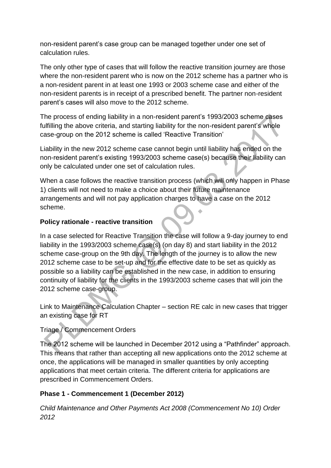non-resident parent's case group can be managed together under one set of calculation rules.

The only other type of cases that will follow the reactive transition journey are those where the non-resident parent who is now on the 2012 scheme has a partner who is a non-resident parent in at least one 1993 or 2003 scheme case and either of the non-resident parents is in receipt of a prescribed benefit. The partner non-resident parent's cases will also move to the 2012 scheme.

The process of ending liability in a non-resident parent's 1993/2003 scheme cases fulfilling the above criteria, and starting liability for the non-resident parent's whole case-group on the 2012 scheme is called 'Reactive Transition'

Liability in the new 2012 scheme case cannot begin until liability has ended on the non-resident parent's existing 1993/2003 scheme case(s) because their liability can only be calculated under one set of calculation rules.

When a case follows the reactive transition process (which will only happen in Phase 1) clients will not need to make a choice about their future maintenance arrangements and will not pay application charges to have a case on the 2012 scheme.

# **Policy rationale - reactive transition**

In a case selected for Reactive Transition the case will follow a 9-day journey to end liability in the 1993/2003 scheme case(s) (on day 8) and start liability in the 2012 scheme case-group on the 9th day. The length of the journey is to allow the new 2012 scheme case to be set-up and for the effective date to be set as quickly as possible so a liability can be established in the new case, in addition to ensuring continuity of liability for the clients in the 1993/2003 scheme cases that will join the 2012 scheme case-group.

Link to Maintenance Calculation Chapter – section RE calc in new cases that trigger an existing case for RT

# Triage / Commencement Orders

The 2012 scheme will be launched in December 2012 using a "Pathfinder" approach. This means that rather than accepting all new applications onto the 2012 scheme at once, the applications will be managed in smaller quantities by only accepting applications that meet certain criteria. The different criteria for applications are prescribed in Commencement Orders.

# **Phase 1 - Commencement 1 (December 2012)**

*Child Maintenance and Other Payments Act 2008 (Commencement No 10) Order 2012*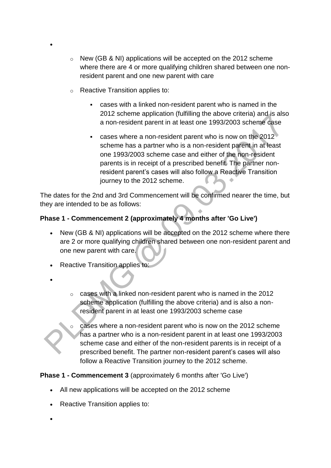- o New (GB & NI) applications will be accepted on the 2012 scheme where there are 4 or more qualifying children shared between one nonresident parent and one new parent with care
- o Reactive Transition applies to:
	- cases with a linked non-resident parent who is named in the 2012 scheme application (fulfilling the above criteria) and is also a non-resident parent in at least one 1993/2003 scheme case
	- cases where a non-resident parent who is now on the 2012 scheme has a partner who is a non-resident parent in at least one 1993/2003 scheme case and either of the non-resident parents is in receipt of a prescribed benefit. The partner nonresident parent's cases will also follow a Reactive Transition journey to the 2012 scheme.

The dates for the 2nd and 3rd Commencement will be confirmed nearer the time, but they are intended to be as follows:

# **Phase 1 - Commencement 2 (approximately 4 months after 'Go Live')**

- New (GB & NI) applications will be accepted on the 2012 scheme where there are 2 or more qualifying children shared between one non-resident parent and one new parent with care.
- Reactive Transition applies to:
- $\bullet$

 $\bullet$ 

- $\circ$  cases with a linked non-resident parent who is named in the 2012 scheme application (fulfilling the above criteria) and is also a nonresident parent in at least one 1993/2003 scheme case
- $\circ$  cases where a non-resident parent who is now on the 2012 scheme has a partner who is a non-resident parent in at least one 1993/2003 scheme case and either of the non-resident parents is in receipt of a prescribed benefit. The partner non-resident parent's cases will also follow a Reactive Transition journey to the 2012 scheme.

### **Phase 1 - Commencement 3** (approximately 6 months after 'Go Live')

- All new applications will be accepted on the 2012 scheme
- Reactive Transition applies to:
- $\bullet$